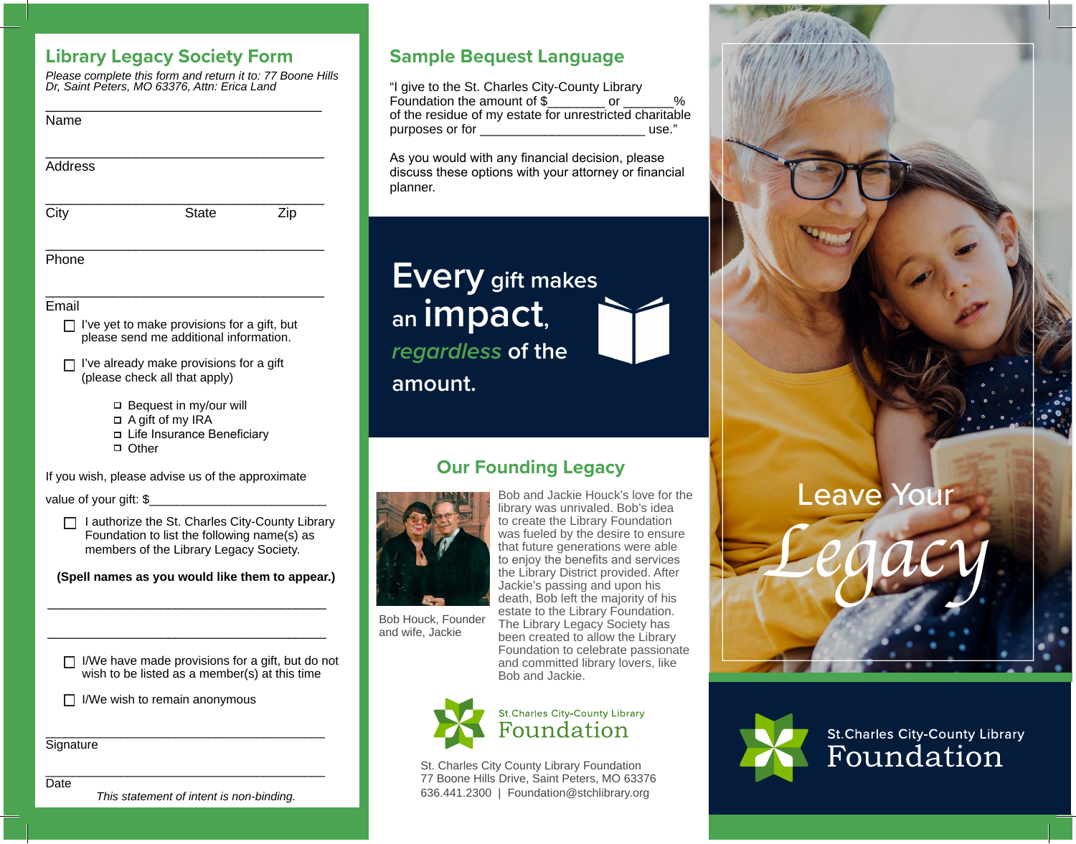### **Library Legacy Society Form**

*Please complete this form and return it to: 77 Boone Hills Dr, Saint Peters, MO 63376, Attn: Erica Land*

| Name                                             |                                                                                                                                                                          |  |
|--------------------------------------------------|--------------------------------------------------------------------------------------------------------------------------------------------------------------------------|--|
| Address                                          |                                                                                                                                                                          |  |
| City                                             | <b>State</b><br>Zip                                                                                                                                                      |  |
| Phone                                            |                                                                                                                                                                          |  |
| Email                                            | $\Box$ I've yet to make provisions for a gift, but<br>please send me additional information.<br>I've already make provisions for a gift<br>(please check all that apply) |  |
|                                                  | □ Bequest in my/our will<br>$\Box$ A gift of my IRA<br>□ Life Insurance Beneficiary<br>□ Other                                                                           |  |
| If you wish, please advise us of the approximate |                                                                                                                                                                          |  |
|                                                  | value of your gift: \$<br>I authorize the St. Charles City-County Library<br>Foundation to list the following name(s) as<br>members of the Library Legacy Society.       |  |
| (Spell names as you would like them to appear.)  |                                                                                                                                                                          |  |
|                                                  |                                                                                                                                                                          |  |
|                                                  | I/We have made provisions for a gift, but do not<br>wish to be listed as a member(s) at this time                                                                        |  |
|                                                  | I/We wish to remain anonymous                                                                                                                                            |  |
| Signature                                        |                                                                                                                                                                          |  |

### Date

*This statement of intent is non-binding.*

### **Sample Bequest Language**

"I give to the St. Charles City-County Library Foundation the amount of \$\_\_\_\_\_\_\_\_ or \_\_\_\_\_\_\_% of the residue of my estate for unrestricted charitable<br>purposes or for<br>wse." purposes or for

As you would with any financial decision, please discuss these options with your attorney or financial planner.

# **Every gift makes an impact,**

*regardless* **of the** 

**amount.**

## **Our Founding Legacy**



Bob Houck, Founder and wife, Jackie

Bob and Jackie Houck's love for the library was unrivaled. Bob's idea to create the Library Foundation was fueled by the desire to ensure that future generations were able to enjoy the benefits and services the Library District provided. After Jackie's passing and upon his death, Bob left the majority of his estate to the Library Foundation. The Library Legacy Society has been created to allow the Library Foundation to celebrate passionate and committed library lovers, like Bob and Jackie.



St. Charles City County Library Foundation 77 Boone Hills Drive, Saint Peters, MO 63376 636.441.2300 | Foundation@stchlibrary.org